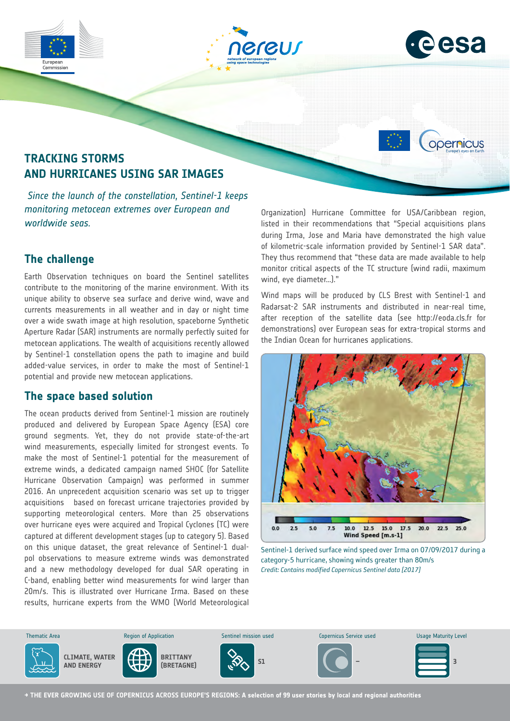



opernicus

# **TRACKING STORMS AND HURRICANES USING SAR IMAGES**

 *Since the launch of the constellation, Sentinel-1 keeps monitoring metocean extremes over European and worldwide seas.*

# **The challenge**

Commission

Earth Observation techniques on board the Sentinel satellites contribute to the monitoring of the marine environment. With its unique ability to observe sea surface and derive wind, wave and currents measurements in all weather and in day or night time over a wide swath image at high resolution, spaceborne Synthetic Aperture Radar (SAR) instruments are normally perfectly suited for metocean applications. The wealth of acquisitions recently allowed by Sentinel-1 constellation opens the path to imagine and build added-value services, in order to make the most of Sentinel-1 potential and provide new metocean applications.

# **The space based solution**

The ocean products derived from Sentinel-1 mission are routinely produced and delivered by European Space Agency (ESA) core ground segments. Yet, they do not provide state-of-the-art wind measurements, especially limited for strongest events. To make the most of Sentinel-1 potential for the measurement of extreme winds, a dedicated campaign named SHOC (for Satellite Hurricane Observation Campaign) was performed in summer 2016. An unprecedent acquisition scenario was set up to trigger acquisitions based on forecast urricane trajectories provided by supporting meteorological centers. More than 25 observations over hurricane eyes were acquired and Tropical Cyclones (TC) were captured at different development stages (up to category 5). Based on this unique dataset, the great relevance of Sentinel-1 dualpol observations to measure extreme winds was demonstrated and a new methodology developed for dual SAR operating in C-band, enabling better wind measurements for wind larger than 20m/s. This is illustrated over Hurricane Irma. Based on these results, hurricane experts from the WMO (World Meteorological

Organization) Hurricane Committee for USA/Caribbean region, listed in their recommendations that "Special acquisitions plans during Irma, Jose and Maria have demonstrated the high value of kilometric-scale information provided by Sentinel-1 SAR data". They thus recommend that "these data are made available to help monitor critical aspects of the TC structure (wind radii, maximum wind, eye diameter…)."

Wind maps will be produced by CLS Brest with Sentinel-1 and Radarsat-2 SAR instruments and distributed in near-real time, after reception of the satellite data (see http://eoda.cls.fr for demonstrations) over European seas for extra-tropical storms and the Indian Ocean for hurricanes applications.



Sentinel-1 derived surface wind speed over Irma on 07/09/2017 during a category-5 hurricane, showing winds greater than 80m/s *Credit: Contains modified Copernicus Sentinel data [2017]*



**→ THE EVER GROWING USE OF COPERNICUS ACROSS EUROPE'S REGIONS: A selection of 99 user stories by local and regional authorities**